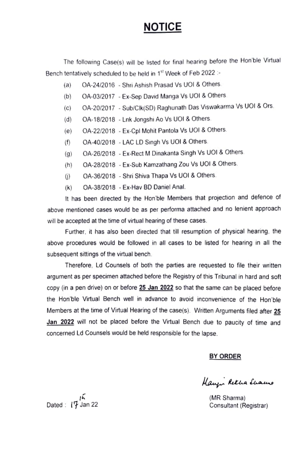# NOTICE

The following Case(s) will be listed for final hearing before the Hon ble Virtual Bench tentatively scheduled to be held in 1<sup>st</sup> Week of Feb 2022 :-

- (a) OA-24/2016 Shri Ashish Prasad Vs UOI & Others.
- (b) OA-03/2017 Ex-Sep David Manga Vs UOl & Others
- (c) OA-20/2017 Sub/Clk(SD) Raghunath Das Viswakarma Vs UOI & Ors.
- (d) OA-18/2018 Lnk Jongshi Ao Vs UOI & Others.
- (e) OA-22/2018 Ex-Cpl Mohit Pantola Vs UOI & Others.
- (f) OA-40/2018 LAC LD Singh Vs UOI & Others.
- (g) OA-26/2018 Ex-Rect M Dinakanta Singh Vs UOI & Others.
- (h) OA-28/2018 Ex-Sub Kamzathang Zou Vs UOI & Others.
- OA-36/2018- Shri Shiva Thapa Vs UOl & Others  $(i)$
- (k) OA-38/2018 Ex-Hav BD Daniel Anal.

It has been directed by the Hon'ble Members that projection and defence of above mentioned cases would be as per performa attached and no lenient approach will be accepted at the time of virtual hearing of these cases.

Further, it has also been directed that till resumption of physical hearing. the above procedures would be followed in all cases to be listed for hearing in all the Subsequent sittings of the virtual bench.

Therefore, Ld Counsels of both the parties are requested to file their written argument as per specimen attached before the Registry of this Tribunal in hard and soft copy (in a pen drive) on or before 25 Jan 2022 so that the same can be placed before the Hon'ble Virtual Bench well in advance to avoid inconvenience of the Hon'ble Members at the time of Virtual Hearing of the case(s). Written Arguments filed after 25 Jan 2022 will not be placed before the Virtual Bench due to paucity of time and concerned Ld Counsels would be held responsible for the lapse.

### BY ORDER

Haupi Retha Luauro

Consultant (Registrar)

 $\mathsf{Dated}: \mathsf{I}^{\mathsf{L}}$  Jan 22 (MR Sharma)<br>Consultant (Re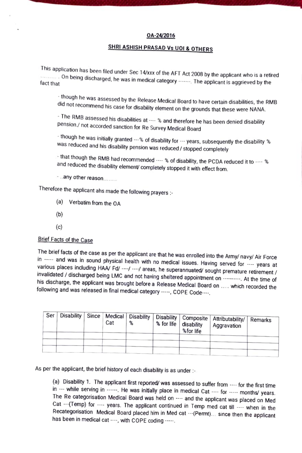#### OA-24/2016

## SHRI ASHISH PRASAD Vs UOI & OTHERS

This application has been filed under Sec 14/xxx of the AFT Act 2008 by the applicant who is a retired being discharged, he was in medical category The applicant is aggrieved by the

tnougn he was assessed by the Release Medical Board to have certain disabilities, the RMB did not recommend his case for disability element on the grounds that these were NANA.

- The RMB assessed his disabilities at ---- % and therefore he has been denied disability<br>pension./ not accorded sanction for Re Survey Medical Board

 $\cdot$  though he was initially granted  $\cdots$  % of disability for  $\cdots$  years, subsequently the disability  $\,$ Was reduced and his disability pension was reduced/ stopped completely

- that though the RMB had recommended  $\cdots$  % of disability, the PCDA reduced it to  $\cdots$  % and reduced the disability element/ completely stopped it with effect from.

any other reason..

Therefore the applicant ahs made the following prayers

- (a) Verbatim from the OA
- (6)
- $(c)$

### Brief Facts of the Case

The brief facts of the case as per the applicant are that he was enrolled into the Army/ navy/ Air Force<br>in ----- and was in sound physical health with no medical issues. Having served for ---- years at<br>various places inc

| Ser |  | Cat | % | % for life   disability<br>%for life | Disability   Since   Medical   Disability   Disability   Composite   Attributability/   Remarks<br>Aggravation |  |
|-----|--|-----|---|--------------------------------------|----------------------------------------------------------------------------------------------------------------|--|
|     |  |     |   |                                      |                                                                                                                |  |
|     |  |     |   |                                      |                                                                                                                |  |
|     |  |     |   |                                      |                                                                                                                |  |

As per the applicant, the brief history of each disability is as under :-

(a) Disability 1. The applicant first reported/ was assessed to suffer from ---- for the first time in --- while serving in ------. He was initially place in medical Cat ---- for ----- months/ years. The Re categorisation Medical Board was held on ---- and the applicant was placed on Med Cat ---(Temp) for ---- years. The applicant continued in Temp med cat till ---- when in the Recategorisation Medical Board placed him in Med cat ---(Permt)... since then the applicant has been in medical cat, with COPE coding -----